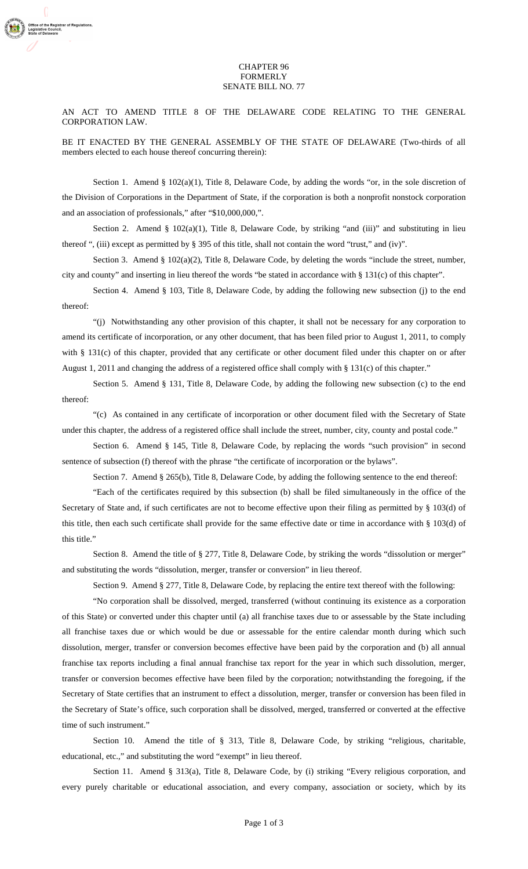## CHAPTER 96 FORMERLY SENATE BILL NO. 77

AN ACT TO AMEND TITLE 8 OF THE DELAWARE CODE RELATING TO THE GENERAL CORPORATION LAW.

BE IT ENACTED BY THE GENERAL ASSEMBLY OF THE STATE OF DELAWARE (Two-thirds of all members elected to each house thereof concurring therein):

Section 1. Amend §  $102(a)(1)$ , Title 8, Delaware Code, by adding the words "or, in the sole discretion of the Division of Corporations in the Department of State, if the corporation is both a nonprofit nonstock corporation and an association of professionals," after "\$10,000,000,".

Section 2. Amend §  $102(a)(1)$ , Title 8, Delaware Code, by striking "and (iii)" and substituting in lieu thereof ", (iii) except as permitted by § 395 of this title, shall not contain the word "trust," and (iv)".

Section 3. Amend § 102(a)(2), Title 8, Delaware Code, by deleting the words "include the street, number, city and county" and inserting in lieu thereof the words "be stated in accordance with § 131(c) of this chapter".

Section 4. Amend § 103, Title 8, Delaware Code, by adding the following new subsection (j) to the end thereof:

"(j) Notwithstanding any other provision of this chapter, it shall not be necessary for any corporation to amend its certificate of incorporation, or any other document, that has been filed prior to August 1, 2011, to comply with § 131(c) of this chapter, provided that any certificate or other document filed under this chapter on or after August 1, 2011 and changing the address of a registered office shall comply with § 131(c) of this chapter."

Section 5. Amend § 131, Title 8, Delaware Code, by adding the following new subsection (c) to the end thereof:

"(c) As contained in any certificate of incorporation or other document filed with the Secretary of State under this chapter, the address of a registered office shall include the street, number, city, county and postal code."

Section 6. Amend § 145, Title 8, Delaware Code, by replacing the words "such provision" in second sentence of subsection (f) thereof with the phrase "the certificate of incorporation or the bylaws".

Section 7. Amend § 265(b), Title 8, Delaware Code, by adding the following sentence to the end thereof:

"Each of the certificates required by this subsection (b) shall be filed simultaneously in the office of the Secretary of State and, if such certificates are not to become effective upon their filing as permitted by § 103(d) of this title, then each such certificate shall provide for the same effective date or time in accordance with § 103(d) of this title."

Section 8. Amend the title of § 277, Title 8, Delaware Code, by striking the words "dissolution or merger" and substituting the words "dissolution, merger, transfer or conversion" in lieu thereof.

Section 9. Amend § 277, Title 8, Delaware Code, by replacing the entire text thereof with the following:

"No corporation shall be dissolved, merged, transferred (without continuing its existence as a corporation of this State) or converted under this chapter until (a) all franchise taxes due to or assessable by the State including all franchise taxes due or which would be due or assessable for the entire calendar month during which such dissolution, merger, transfer or conversion becomes effective have been paid by the corporation and (b) all annual franchise tax reports including a final annual franchise tax report for the year in which such dissolution, merger, transfer or conversion becomes effective have been filed by the corporation; notwithstanding the foregoing, if the Secretary of State certifies that an instrument to effect a dissolution, merger, transfer or conversion has been filed in the Secretary of State's office, such corporation shall be dissolved, merged, transferred or converted at the effective time of such instrument."

Section 10. Amend the title of § 313, Title 8, Delaware Code, by striking "religious, charitable, educational, etc.," and substituting the word "exempt" in lieu thereof.

Section 11. Amend § 313(a), Title 8, Delaware Code, by (i) striking "Every religious corporation, and every purely charitable or educational association, and every company, association or society, which by its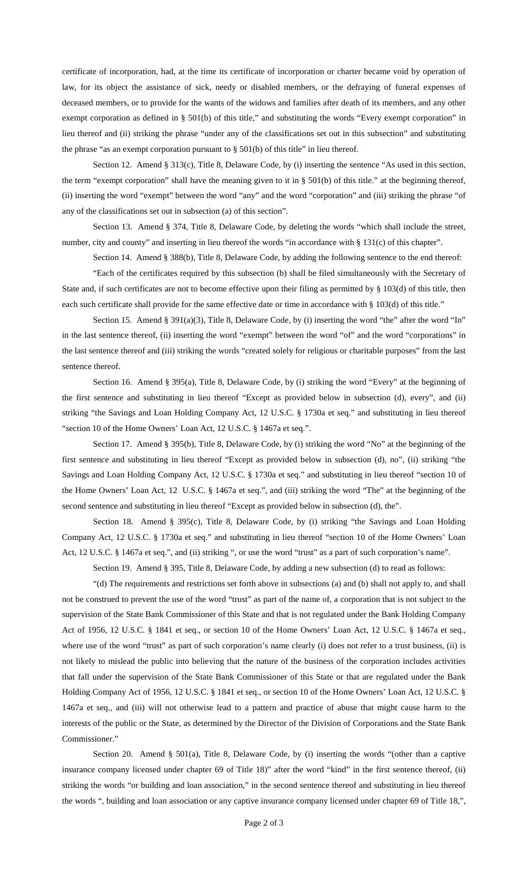certificate of incorporation, had, at the time its certificate of incorporation or charter became void by operation of law, for its object the assistance of sick, needy or disabled members, or the defraying of funeral expenses of deceased members, or to provide for the wants of the widows and families after death of its members, and any other exempt corporation as defined in § 501(b) of this title," and substituting the words "Every exempt corporation" in lieu thereof and (ii) striking the phrase "under any of the classifications set out in this subsection" and substituting the phrase "as an exempt corporation pursuant to  $\S$  501(b) of this title" in lieu thereof.

Section 12. Amend § 313(c), Title 8, Delaware Code, by (i) inserting the sentence "As used in this section, the term "exempt corporation" shall have the meaning given to it in § 501(b) of this title." at the beginning thereof, (ii) inserting the word "exempt" between the word "any" and the word "corporation" and (iii) striking the phrase "of any of the classifications set out in subsection (a) of this section".

Section 13. Amend § 374, Title 8, Delaware Code, by deleting the words "which shall include the street, number, city and county" and inserting in lieu thereof the words "in accordance with § 131(c) of this chapter".

Section 14. Amend § 388(b), Title 8, Delaware Code, by adding the following sentence to the end thereof:

"Each of the certificates required by this subsection (b) shall be filed simultaneously with the Secretary of State and, if such certificates are not to become effective upon their filing as permitted by  $\S 103(d)$  of this title, then each such certificate shall provide for the same effective date or time in accordance with § 103(d) of this title."

Section 15. Amend § 391(a)(3), Title 8, Delaware Code, by (i) inserting the word "the" after the word "In" in the last sentence thereof, (ii) inserting the word "exempt" between the word "of" and the word "corporations" in the last sentence thereof and (iii) striking the words "created solely for religious or charitable purposes" from the last sentence thereof.

Section 16. Amend § 395(a), Title 8, Delaware Code, by (i) striking the word "Every" at the beginning of the first sentence and substituting in lieu thereof "Except as provided below in subsection (d), every", and (ii) striking "the Savings and Loan Holding Company Act, 12 U.S.C. § 1730a et seq." and substituting in lieu thereof "section 10 of the Home Owners' Loan Act, 12 U.S.C. § 1467a et seq.".

Section 17. Amend § 395(b), Title 8, Delaware Code, by (i) striking the word "No" at the beginning of the first sentence and substituting in lieu thereof "Except as provided below in subsection (d), no", (ii) striking "the Savings and Loan Holding Company Act, 12 U.S.C. § 1730a et seq." and substituting in lieu thereof "section 10 of the Home Owners' Loan Act, 12 U.S.C. § 1467a et seq.", and (iii) striking the word "The" at the beginning of the second sentence and substituting in lieu thereof "Except as provided below in subsection (d), the".

Section 18. Amend § 395(c), Title 8, Delaware Code, by (i) striking "the Savings and Loan Holding Company Act, 12 U.S.C. § 1730a et seq." and substituting in lieu thereof "section 10 of the Home Owners' Loan Act, 12 U.S.C. § 1467a et seq.", and (ii) striking ", or use the word "trust" as a part of such corporation's name".

Section 19. Amend § 395, Title 8, Delaware Code, by adding a new subsection (d) to read as follows:

"(d) The requirements and restrictions set forth above in subsections (a) and (b) shall not apply to, and shall not be construed to prevent the use of the word "trust" as part of the name of, a corporation that is not subject to the supervision of the State Bank Commissioner of this State and that is not regulated under the Bank Holding Company Act of 1956, 12 U.S.C. § 1841 et seq., or section 10 of the Home Owners' Loan Act, 12 U.S.C. § 1467a et seq., where use of the word "trust" as part of such corporation's name clearly (i) does not refer to a trust business, (ii) is not likely to mislead the public into believing that the nature of the business of the corporation includes activities that fall under the supervision of the State Bank Commissioner of this State or that are regulated under the Bank Holding Company Act of 1956, 12 U.S.C. § 1841 et seq., or section 10 of the Home Owners' Loan Act, 12 U.S.C. § 1467a et seq., and (iii) will not otherwise lead to a pattern and practice of abuse that might cause harm to the interests of the public or the State, as determined by the Director of the Division of Corporations and the State Bank Commissioner."

Section 20. Amend § 501(a), Title 8, Delaware Code, by (i) inserting the words "(other than a captive insurance company licensed under chapter 69 of Title 18)" after the word "kind" in the first sentence thereof, (ii) striking the words "or building and loan association," in the second sentence thereof and substituting in lieu thereof the words ", building and loan association or any captive insurance company licensed under chapter 69 of Title 18,",